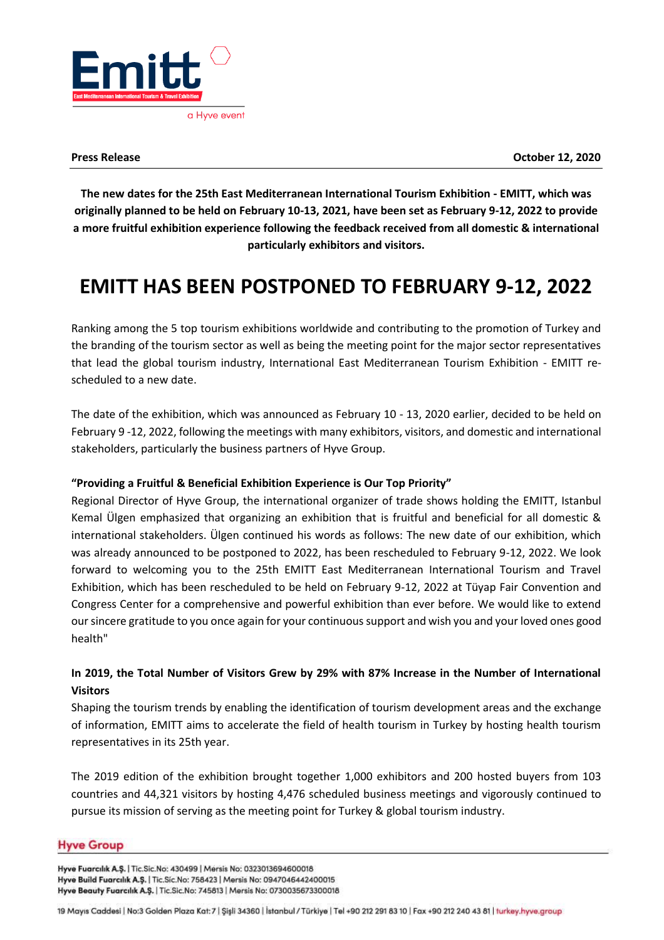

**The new dates for the 25th East Mediterranean International Tourism Exhibition - EMITT, which was originally planned to be held on February 10-13, 2021, have been set as February 9-12, 2022 to provide a more fruitful exhibition experience following the feedback received from all domestic & international particularly exhibitors and visitors.**

# **EMITT HAS BEEN POSTPONED TO FEBRUARY 9-12, 2022**

Ranking among the 5 top tourism exhibitions worldwide and contributing to the promotion of Turkey and the branding of the tourism sector as well as being the meeting point for the major sector representatives that lead the global tourism industry, International East Mediterranean Tourism Exhibition - EMITT rescheduled to a new date.

The date of the exhibition, which was announced as February 10 - 13, 2020 earlier, decided to be held on February 9 -12, 2022, following the meetings with many exhibitors, visitors, and domestic and international stakeholders, particularly the business partners of Hyve Group.

# **"Providing a Fruitful & Beneficial Exhibition Experience is Our Top Priority"**

Regional Director of Hyve Group, the international organizer of trade shows holding the EMITT, Istanbul Kemal Ülgen emphasized that organizing an exhibition that is fruitful and beneficial for all domestic & international stakeholders. Ülgen continued his words as follows: The new date of our exhibition, which was already announced to be postponed to 2022, has been rescheduled to February 9-12, 2022. We look forward to welcoming you to the 25th EMITT East Mediterranean International Tourism and Travel Exhibition, which has been rescheduled to be held on February 9-12, 2022 at Tüyap Fair Convention and Congress Center for a comprehensive and powerful exhibition than ever before. We would like to extend our sincere gratitude to you once again for your continuous support and wish you and your loved ones good health"

# **In 2019, the Total Number of Visitors Grew by 29% with 87% Increase in the Number of International Visitors**

Shaping the tourism trends by enabling the identification of tourism development areas and the exchange of information, EMITT aims to accelerate the field of health tourism in Turkey by hosting health tourism representatives in its 25th year.

The 2019 edition of the exhibition brought together 1,000 exhibitors and 200 hosted buyers from 103 countries and 44,321 visitors by hosting 4,476 scheduled business meetings and vigorously continued to pursue its mission of serving as the meeting point for Turkey & global tourism industry.

# **Hyve Group**

Hyve Fuarcılık A.Ş. | Tic.Sic.No: 430499 | Mersis No: 0323013694600018 Hyve Build Fuarcılık A.Ş. | Tic.Sic.No: 758423 | Mersis No: 0947046442400015 Hyve Beauty Fuarcılık A.Ş. | Tic.Sic.No: 745813 | Mersis No: 0730035673300018

19 Mayıs Caddesi | No:3 Golden Plaza Kat: 7 | Şişli 34360 | İstanbul / Türkiye | Tel +90 212 291 83 10 | Fax +90 212 240 43 81 | turkey.hyve.group